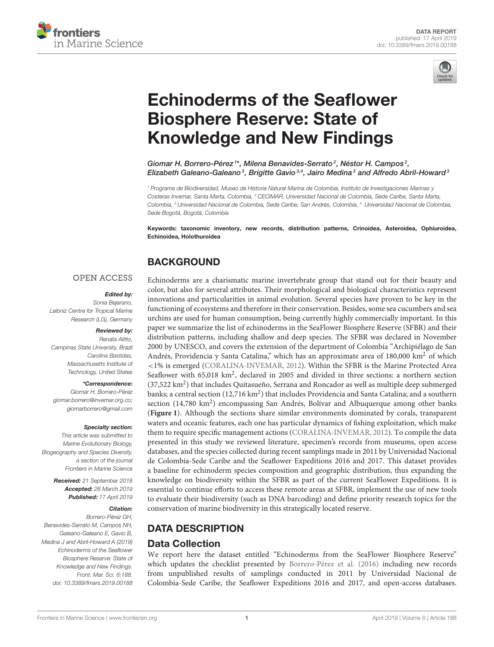<span id="page-0-0"></span>



# Echinoderms of the Seaflower Biosphere Reserve: State of [Knowledge and New Findings](https://www.frontiersin.org/articles/10.3389/fmars.2019.00188/full)

[Giomar H. Borrero-Pérez](http://loop.frontiersin.org/people/618000/overview)<sup>1\*</sup>, [Milena Benavides-Serrato](http://loop.frontiersin.org/people/654624/overview)<sup>2</sup>, [Néstor H. Campos](http://loop.frontiersin.org/people/710838/overview)<sup>2</sup>, Elizabeth Galeano-Galeano $^3$ , Brigitte Gavio $^{3,4}$ , [Jairo Medina](http://loop.frontiersin.org/people/594350/overview) $^3$  and Alfredo Abril-Howard $^3$ 

<sup>1</sup> Programa de Biodiversidad, Museo de Historia Natural Marina de Colombia, Instituto de Investigaciones Marinas y Costeras Invemar, Santa Marta, Colombia, <sup>2</sup> CECIMAR, Universidad Nacional de Colombia, Sede Caribe, Santa Marta, Colombia, <sup>3</sup> Universidad Nacional de Colombia, Sede Caribe, San Andrés, Colombia, <sup>4</sup> Universidad Nacional de Colombia, Sede Bogotá, Bogotá, Colombia

Keywords: taxonomic inventory, new records, distribution patterns, Crinoidea, Asteroidea, Ophiuroidea, Echinoidea, Holothuroidea

# **BACKGROUND**

## **OPEN ACCESS**

#### Edited by:

Sonia Bejarano, Leibniz Centre for Tropical Marine Research (LG), Germany

#### Reviewed by:

Renata Alitto, Campinas State University, Brazil Carolina Bastidas, Massachusetts Institute of Technology, United States

### \*Correspondence:

Giomar H. Borrero-Pérez [giomar.borrero@invemar.org.co;](mailto:giomar.borrero@invemar.org.co) [giomarborrero@gmail.com](mailto:giomarborrero@gmail.com)

#### Specialty section:

This article was submitted to Marine Evolutionary Biology, Biogeography and Species Diversity, a section of the journal Frontiers in Marine Science

> Received: 21 September 2018 Accepted: 26 March 2019 Published: 17 April 2019

#### Citation:

Borrero-Pérez GH, Benavides-Serrato M, Campos NH, Galeano-Galeano E, Gavio B Medina J and Abril-Howard A (2019) Echinoderms of the Seaflower Biosphere Reserve: State of Knowledge and New Findings. Front. Mar. Sci. 6:188. doi: [10.3389/fmars.2019.00188](https://doi.org/10.3389/fmars.2019.00188)

Echinoderms are a charismatic marine invertebrate group that stand out for their beauty and color, but also for several attributes. Their morphological and biological characteristics represent innovations and particularities in animal evolution. Several species have proven to be key in the functioning of ecosystems and therefore in their conservation. Besides, some sea cucumbers and sea urchins are used for human consumption, being currently highly commercially important. In this paper we summarize the list of echinoderms in the SeaFlower Biosphere Reserve (SFBR) and their distribution patterns, including shallow and deep species. The SFBR was declared in November 2000 by UNESCO, and covers the extension of the department of Colombia "Archipiélago de San Andrés, Providencia y Santa Catalina," which has an approximate area of 180,000 km<sup>2</sup> of which <1% is emerged [\(CORALINA-INVEMAR, 2012\)](#page-10-0). Within the SFBR is the Marine Protected Area Seaflower with 65,018 km<sup>2</sup>, declared in 2005 and divided in three sections: a northern section (37,522 km<sup>2</sup>) that includes Quitasueño, Serrana and Roncador as well as multiple deep submerged banks; a central section (12,716 km<sup>2</sup>) that includes Providencia and Santa Catalina; and a southern section  $(14,780 \text{ km}^2)$  encompassing San Andrés, Bolívar and Albuquerque among other banks (**[Figure 1](#page-1-0)**). Although the sections share similar environments dominated by corals, transparent waters and oceanic features, each one has particular dynamics of fishing exploitation, which make them to require specific management actions [\(CORALINA-INVEMAR, 2012\)](#page-10-0). To compile the data presented in this study we reviewed literature, specimen's records from museums, open access databases, and the species collected during recent samplings made in 2011 by Universidad Nacional de Colombia-Sede Caribe and the Seaflower Expeditions 2016 and 2017. This dataset provides a baseline for echinoderm species composition and geographic distribution, thus expanding the knowledge on biodiversity within the SFBR as part of the current SeaFlower Expeditions. It is essential to continue efforts to access these remote areas at SFBR, implement the use of new tools to evaluate their biodiversity (such as DNA barcoding) and define priority research topics for the conservation of marine biodiversity in this strategically located reserve.

## DATA DESCRIPTION

## Data Collection

We report here the dataset entitled "Echinoderms from the SeaFlower Biosphere Reserve" which updates the checklist presented by [Borrero-Pérez et al. \(2016\)](#page-10-1) including new records from unpublished results of samplings conducted in 2011 by Universidad Nacional de Colombia-Sede Caribe, the Seaflower Expeditions 2016 and 2017, and open-access databases.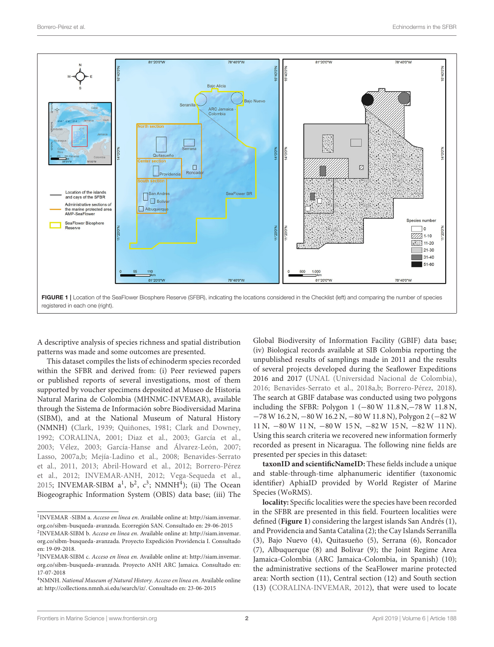

<span id="page-1-0"></span>A descriptive analysis of species richness and spatial distribution patterns was made and some outcomes are presented.

This dataset compiles the lists of echinoderm species recorded within the SFBR and derived from: (i) Peer reviewed papers or published reports of several investigations, most of them supported by voucher specimens deposited at Museo de Historia Natural Marina de Colombia (MHNMC-INVEMAR), available through the Sistema de Información sobre Biodiversidad Marina (SIBM), and at the National Museum of Natural History (NMNH) [\(Clark, 1939;](#page-10-2) [Quiñones, 1981;](#page-11-0) [Clark and Downey,](#page-10-3) [1992;](#page-10-3) [CORALINA, 2001;](#page-10-4) [Diaz et al., 2003;](#page-10-5) [García et al.,](#page-10-6) [2003;](#page-10-6) [Vélez, 2003;](#page-11-1) [García-Hanse and Álvarez-León, 2007;](#page-10-7) [Lasso, 2007a,](#page-10-8)[b;](#page-10-9) [Mejía-Ladino et al., 2008;](#page-10-10) Benavides-Serrato et al., [2011,](#page-10-11) [2013;](#page-10-12) [Abril-Howard et al., 2012;](#page-10-13) Borrero-Pérez et al., [2012;](#page-10-14) [INVEMAR-ANH, 2012;](#page-10-15) [Vega-Sequeda et al.,](#page-11-2) [2015;](#page-11-2) INVEMAR-SIBM  $a^1$  $a^1$ ,  $b^2$  $b^2$ ,  $c^3$  $c^3$ ; NMNH<sup>[4](#page-1-4)</sup>); (ii) The Ocean Biogeographic Information System (OBIS) data base; (iii) The Global Biodiversity of Information Facility (GBIF) data base; (iv) Biological records available at SIB Colombia reporting the unpublished results of samplings made in 2011 and the results of several projects developed during the Seaflower Expeditions 2016 and 2017 [\(UNAL \(Universidad Nacional de Colombia\),](#page-11-3) [2016;](#page-11-3) [Benavides-Serrato et al., 2018a](#page-10-16)[,b;](#page-10-17) [Borrero-Pérez, 2018\)](#page-10-18). The search at GBIF database was conducted using two polygons including the SFBR: Polygon 1 (−80 W 11.8 N,−78 W 11.8 N, −78 W 16.2 N, −80 W 16.2 N, −80 W 11.8 N), Polygon 2 (−82 W 11 N, −80 W 11 N, −80 W 15 N, −82 W 15 N, −82 W 11 N). Using this search criteria we recovered new information formerly recorded as present in Nicaragua. The following nine fields are presented per species in this dataset:

**taxonID and scientificNameID:** These fields include a unique and stable-through-time alphanumeric identifier (taxonomic identifier) AphiaID provided by World Register of Marine Species (WoRMS).

**locality:** Specific localities were the species have been recorded in the SFBR are presented in this field. Fourteen localities were defined (**[Figure 1](#page-1-0)**) considering the largest islands San Andrés (1), and Providencia and Santa Catalina (2); the Cay Islands Serranilla (3), Bajo Nuevo (4), Quitasueño (5), Serrana (6), Roncador (7), Albuquerque (8) and Bolivar (9); the Joint Regime Area Jamaica-Colombia (ARC Jamaica-Colombia, in Spanish) (10); the administrative sections of the SeaFlower marine protected area: North section (11), Central section (12) and South section (13) [\(CORALINA-INVEMAR, 2012\)](#page-10-0), that were used to locate

<span id="page-1-1"></span><sup>&</sup>lt;sup>1</sup> INVEMAR -SIBM a. Acceso en línea en. Available online at: [http://siam.invemar.](http://siam.invemar.org.co/sibm-busqueda-avanzada) [org.co/sibm-busqueda-avanzada.](http://siam.invemar.org.co/sibm-busqueda-avanzada) Ecorregión SAN. Consultado en: 29-06-2015

<span id="page-1-2"></span><sup>&</sup>lt;sup>2</sup>INVEMAR-SIBM b. Acceso en línea en. Available online at: [http://siam.invemar.](http://siam.invemar.org.co/sibm-busqueda-avanzada) [org.co/sibm-busqueda-avanzada.](http://siam.invemar.org.co/sibm-busqueda-avanzada) Proyecto Expedición Providencia I. Consultado en: 19-09-2018.

<span id="page-1-3"></span><sup>&</sup>lt;sup>3</sup> INVEMAR-SIBM c. Acceso en línea en. Available online at: [http://siam.invemar.](http://siam.invemar.org.co/sibm-busqueda-avanzada) [org.co/sibm-busqueda-avanzada.](http://siam.invemar.org.co/sibm-busqueda-avanzada) Proyecto ANH ARC Jamaica. Consultado en: 17-07-2018

<span id="page-1-4"></span><sup>&</sup>lt;sup>4</sup>NMNH. National Museum of Natural History. Acceso en línea en. Available online at: [http://collections.nmnh.si.edu/search/iz/.](http://collections.nmnh.si.edu/search/iz/) Consultado en: 23-06-2015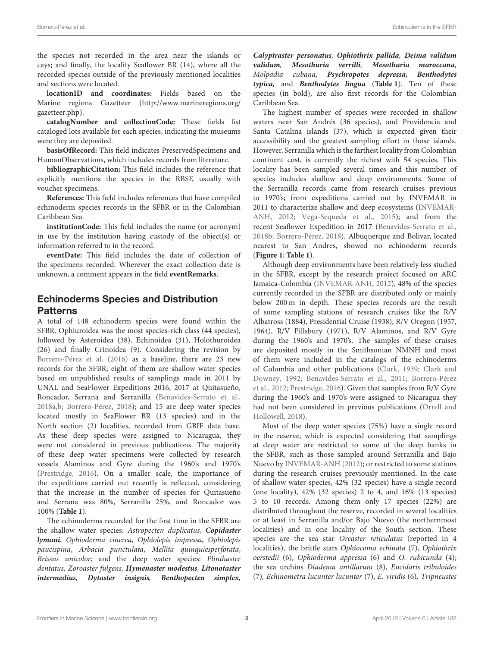the species not recorded in the area near the islands or cays; and finally, the locality Seaflower BR (14), where all the recorded species outside of the previously mentioned localities and sections were located.

**locationID and coordinates:** Fields based on the Marine regions Gazetteer [\(http://www.marineregions.org/](http://www.marineregions.org/gazetteer.php) [gazetteer.php\)](http://www.marineregions.org/gazetteer.php).

**catalogNumber and collectionCode:** These fields list cataloged lots available for each species, indicating the museums were they are deposited.

**basisOfRecord:** This field indicates PreservedSpecimens and HumanObservations, which includes records from literature.

**bibliographicCitation:** This field includes the reference that explicitly mentions the species in the RBSF, usually with voucher specimens.

**References:** This field includes references that have compiled echinoderm species records in the SFBR or in the Colombian Caribbean Sea.

**institutionCode:** This field includes the name (or acronym) in use by the institution having custody of the object(s) or information referred to in the record.

**eventDate:** This field includes the date of collection of the specimens recorded. Wherever the exact collection date is unknown, a comment appears in the field **eventRemarks**.

## Echinoderms Species and Distribution Patterns

A total of 148 echinoderm species were found within the SFBR. Ophiuroidea was the most species-rich class (44 species), followed by Asteroidea (38), Echinoidea (31), Holothuroidea (26) and finally Crinoidea (9). Considering the revision by [Borrero-Pérez et al. \(2016\)](#page-10-1) as a baseline, there are 23 new records for the SFBR; eight of them are shallow water species based on unpublished results of samplings made in 2011 by UNAL and SeaFlower Expeditions 2016, 2017 at Quitasueño, Roncador, Serrana and Serranilla [\(Benavides-Serrato et al.,](#page-10-16) [2018a](#page-10-16)[,b;](#page-10-17) [Borrero-Pérez, 2018\)](#page-10-18); and 15 are deep water species located mostly in SeaFlower BR (13 species) and in the North section (2) localities, recorded from GBIF data base. As these deep species were assigned to Nicaragua, they were not considered in previous publications. The majority of these deep water specimens were collected by research vessels Alaminos and Gyre during the 1960's and 1970's [\(Prestridge, 2016\)](#page-11-4). On a smaller scale, the importance of the expeditions carried out recently is reflected, considering that the increase in the number of species for Quitasueño and Serrana was 80%, Serranilla 25%, and Roncador was 100% (**[Table 1](#page-3-0)**).

The echinoderms recorded for the first time in the SFBR are the shallow water species: Astropecten duplicatus, **Copidaster lymani**, Ophioderma cinerea, Ophiolepis impressa, Ophiolepis paucispina, Arbacia punctulata, Mellita quinquiesperforata, Brissus unicolor; and the deep water species: Plinthaster dentatus, Zoroaster fulgens, **Hymenaster modestus**, **Litonotaster intermedius**, **Dytaster insignis**, **Benthopecten simplex**, **Calyptraster personatus**, **Ophiothrix pallida**, **Deima validum validum**, **Mesothuria verrilli**, **Mesothuria maroccana**, Molpadia cubana, **Psychropotes depressa, Benthodytes typica,** and **Benthodytes lingua** (**[Table 1](#page-3-0)**). Ten of these species (in bold), are also first records for the Colombian Caribbean Sea.

The highest number of species were recorded in shallow waters near San Andrés (36 species), and Providencia and Santa Catalina islands (37), which is expected given their accessibility and the greatest sampling effort in those islands. However, Serranilla which is the farthest locality from Colombian continent cost, is currently the richest with 54 species. This locality has been sampled several times and this number of species includes shallow and deep environments. Some of the Serranilla records came from research cruises previous to 1970's; from expeditions carried out by INVEMAR in 2011 to characterize shallow and deep ecosystems (INVEMAR-ANH, [2012;](#page-10-15) [Vega-Sequeda et al., 2015\)](#page-11-2); and from the recent Seaflower Expedition in 2017 [\(Benavides-Serrato et al.,](#page-10-17) [2018b;](#page-10-17) [Borrero-Pérez, 2018\)](#page-10-18). Albuquerque and Bolivar, located nearest to San Andres, showed no echinoderm records (**[Figure 1](#page-1-0)**; **[Table 1](#page-3-0)**).

Although deep environments have been relatively less studied in the SFBR, except by the research project focused on ARC Jamaica-Colombia [\(INVEMAR-ANH, 2012\)](#page-10-15), 48% of the species currently recorded in the SFBR are distributed only or mainly below 200 m in depth. These species records are the result of some sampling stations of research cruises like the R/V Albatross (1884), Presidential Cruise (1938), R/V Oregon (1957, 1964), R/V Pillsbury (1971), R/V Alaminos, and R/V Gyre during the 1960's and 1970's. The samples of these cruises are deposited mostly in the Smithsonian NMNH and most of them were included in the catalogs of the echinoderms of Colombia and other publications [\(Clark, 1939;](#page-10-2) Clark and Downey, [1992;](#page-10-3) [Benavides-Serrato et al., 2011;](#page-10-11) Borrero-Pérez et al., [2012;](#page-10-14) [Prestridge, 2016\)](#page-11-4). Given that samples from R/V Gyre during the 1960's and 1970's were assigned to Nicaragua they had not been considered in previous publications (Orrell and Hollowell, [2018\)](#page-11-5).

Most of the deep water species (75%) have a single record in the reserve, which is expected considering that samplings at deep water are restricted to some of the deep banks in the SFBR, such as those sampled around Serranilla and Bajo Nuevo by [INVEMAR-ANH \(2012\)](#page-10-15); or restricted to some stations during the research cruises previously mentioned. In the case of shallow water species, 42% (32 species) have a single record (one locality), 42% (32 species) 2 to 4, and 16% (13 species) 5 to 10 records. Among them only 17 species (22%) are distributed throughout the reserve, recorded in several localities or at least in Serranilla and/or Bajo Nuevo (the northernmost localities) and in one locality of the South section. These species are the sea star Oreaster reticulatus (reported in 4 localities), the brittle stars Ophiocoma echinata (7), Ophiothrix oerstedii (6), Ophioderma appressa (6) and O. rubicunda (4); the sea urchins Diadema antillarum (8), Eucidaris tribuloides (7), Echinometra lucunter lucunter (7), E. viridis (6), Tripneustes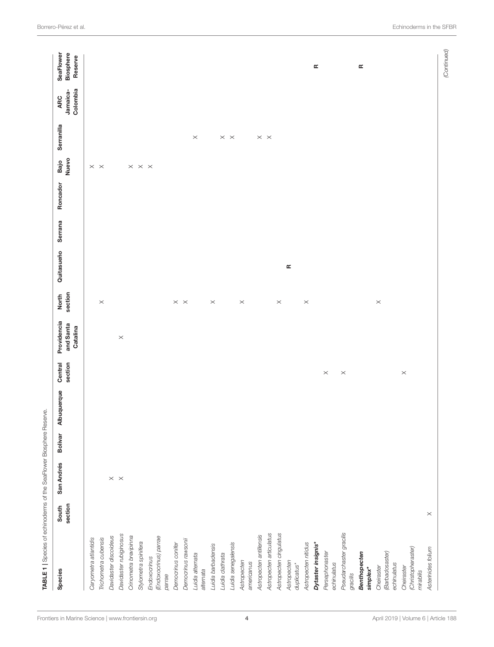| <b>Biosphere</b><br>Reserve<br>$\simeq$<br>$\simeq$<br>Colombia<br>Jamaica-<br>$\times$<br>$\times~\times$<br>$\times~\times$<br>Nuevo<br>$\times~\times~\times$<br>$\times~\times$<br>$\simeq$<br>section<br>$\times~\times$<br>$\times$<br>$\times$<br>$\times$<br>$\times$<br>$\times$<br>$\times$<br>and Santa<br>Catalina<br>$\times$<br>section<br>$\times$<br>$\times$<br>$\times$<br>$\times~\times$<br>section<br>$\times$<br>Pseudarchaster gracilis<br>Astropecten articulatus<br>Astropecten cingulatus<br>Davidaster rubiginosus<br>Astropecten antillensis<br>Davidaster discoideus<br>Crinometra brevipinna<br>(Endoxocrinus) parrae<br>Trichometra cubensis<br>Caryometra atlantidis<br>Democrinus rawsonii<br>Stylometra spinifera<br>Astropecten nitidus<br>Democrinus conifer<br>Luidia senegalensis<br>Dytaster insignis*<br>Luidia barbadensis<br>(Christopheraster)<br>Asterinides folium<br>(Barbadosaster)<br>Persephonaster<br>Benthopecten<br>Luidia clathrata<br>Luidia alternata<br>Endoxocrinus<br>Astropecten<br>Astropecten<br>americanus<br>echinulatus<br>echinulatus<br>duplicatus*<br>Cheiraster<br>Cheiraster<br>simplex*<br>alternata<br>mirabilis<br>gracilis<br>parrae |         |       |            |                |             |         | Providencia | <b>North</b> |            |         |          |      |            |            |           |
|---------------------------------------------------------------------------------------------------------------------------------------------------------------------------------------------------------------------------------------------------------------------------------------------------------------------------------------------------------------------------------------------------------------------------------------------------------------------------------------------------------------------------------------------------------------------------------------------------------------------------------------------------------------------------------------------------------------------------------------------------------------------------------------------------------------------------------------------------------------------------------------------------------------------------------------------------------------------------------------------------------------------------------------------------------------------------------------------------------------------------------------------------------------------------------------------------------------|---------|-------|------------|----------------|-------------|---------|-------------|--------------|------------|---------|----------|------|------------|------------|-----------|
|                                                                                                                                                                                                                                                                                                                                                                                                                                                                                                                                                                                                                                                                                                                                                                                                                                                                                                                                                                                                                                                                                                                                                                                                               | Species | South | San Andrés | <b>Bolivar</b> | Albuquerque | Central |             |              | Quitasueño | Serrana | Roncador | Bajo | Serranilla | <b>ARC</b> | SeaFlower |
|                                                                                                                                                                                                                                                                                                                                                                                                                                                                                                                                                                                                                                                                                                                                                                                                                                                                                                                                                                                                                                                                                                                                                                                                               |         |       |            |                |             |         |             |              |            |         |          |      |            |            |           |
|                                                                                                                                                                                                                                                                                                                                                                                                                                                                                                                                                                                                                                                                                                                                                                                                                                                                                                                                                                                                                                                                                                                                                                                                               |         |       |            |                |             |         |             |              |            |         |          |      |            |            |           |
|                                                                                                                                                                                                                                                                                                                                                                                                                                                                                                                                                                                                                                                                                                                                                                                                                                                                                                                                                                                                                                                                                                                                                                                                               |         |       |            |                |             |         |             |              |            |         |          |      |            |            |           |
|                                                                                                                                                                                                                                                                                                                                                                                                                                                                                                                                                                                                                                                                                                                                                                                                                                                                                                                                                                                                                                                                                                                                                                                                               |         |       |            |                |             |         |             |              |            |         |          |      |            |            |           |
|                                                                                                                                                                                                                                                                                                                                                                                                                                                                                                                                                                                                                                                                                                                                                                                                                                                                                                                                                                                                                                                                                                                                                                                                               |         |       |            |                |             |         |             |              |            |         |          |      |            |            |           |
|                                                                                                                                                                                                                                                                                                                                                                                                                                                                                                                                                                                                                                                                                                                                                                                                                                                                                                                                                                                                                                                                                                                                                                                                               |         |       |            |                |             |         |             |              |            |         |          |      |            |            |           |
|                                                                                                                                                                                                                                                                                                                                                                                                                                                                                                                                                                                                                                                                                                                                                                                                                                                                                                                                                                                                                                                                                                                                                                                                               |         |       |            |                |             |         |             |              |            |         |          |      |            |            |           |
|                                                                                                                                                                                                                                                                                                                                                                                                                                                                                                                                                                                                                                                                                                                                                                                                                                                                                                                                                                                                                                                                                                                                                                                                               |         |       |            |                |             |         |             |              |            |         |          |      |            |            |           |
|                                                                                                                                                                                                                                                                                                                                                                                                                                                                                                                                                                                                                                                                                                                                                                                                                                                                                                                                                                                                                                                                                                                                                                                                               |         |       |            |                |             |         |             |              |            |         |          |      |            |            |           |
|                                                                                                                                                                                                                                                                                                                                                                                                                                                                                                                                                                                                                                                                                                                                                                                                                                                                                                                                                                                                                                                                                                                                                                                                               |         |       |            |                |             |         |             |              |            |         |          |      |            |            |           |
|                                                                                                                                                                                                                                                                                                                                                                                                                                                                                                                                                                                                                                                                                                                                                                                                                                                                                                                                                                                                                                                                                                                                                                                                               |         |       |            |                |             |         |             |              |            |         |          |      |            |            |           |
|                                                                                                                                                                                                                                                                                                                                                                                                                                                                                                                                                                                                                                                                                                                                                                                                                                                                                                                                                                                                                                                                                                                                                                                                               |         |       |            |                |             |         |             |              |            |         |          |      |            |            |           |
|                                                                                                                                                                                                                                                                                                                                                                                                                                                                                                                                                                                                                                                                                                                                                                                                                                                                                                                                                                                                                                                                                                                                                                                                               |         |       |            |                |             |         |             |              |            |         |          |      |            |            |           |
|                                                                                                                                                                                                                                                                                                                                                                                                                                                                                                                                                                                                                                                                                                                                                                                                                                                                                                                                                                                                                                                                                                                                                                                                               |         |       |            |                |             |         |             |              |            |         |          |      |            |            |           |
|                                                                                                                                                                                                                                                                                                                                                                                                                                                                                                                                                                                                                                                                                                                                                                                                                                                                                                                                                                                                                                                                                                                                                                                                               |         |       |            |                |             |         |             |              |            |         |          |      |            |            |           |
|                                                                                                                                                                                                                                                                                                                                                                                                                                                                                                                                                                                                                                                                                                                                                                                                                                                                                                                                                                                                                                                                                                                                                                                                               |         |       |            |                |             |         |             |              |            |         |          |      |            |            |           |
|                                                                                                                                                                                                                                                                                                                                                                                                                                                                                                                                                                                                                                                                                                                                                                                                                                                                                                                                                                                                                                                                                                                                                                                                               |         |       |            |                |             |         |             |              |            |         |          |      |            |            |           |
|                                                                                                                                                                                                                                                                                                                                                                                                                                                                                                                                                                                                                                                                                                                                                                                                                                                                                                                                                                                                                                                                                                                                                                                                               |         |       |            |                |             |         |             |              |            |         |          |      |            |            |           |
|                                                                                                                                                                                                                                                                                                                                                                                                                                                                                                                                                                                                                                                                                                                                                                                                                                                                                                                                                                                                                                                                                                                                                                                                               |         |       |            |                |             |         |             |              |            |         |          |      |            |            |           |
|                                                                                                                                                                                                                                                                                                                                                                                                                                                                                                                                                                                                                                                                                                                                                                                                                                                                                                                                                                                                                                                                                                                                                                                                               |         |       |            |                |             |         |             |              |            |         |          |      |            |            |           |
|                                                                                                                                                                                                                                                                                                                                                                                                                                                                                                                                                                                                                                                                                                                                                                                                                                                                                                                                                                                                                                                                                                                                                                                                               |         |       |            |                |             |         |             |              |            |         |          |      |            |            |           |
|                                                                                                                                                                                                                                                                                                                                                                                                                                                                                                                                                                                                                                                                                                                                                                                                                                                                                                                                                                                                                                                                                                                                                                                                               |         |       |            |                |             |         |             |              |            |         |          |      |            |            |           |
|                                                                                                                                                                                                                                                                                                                                                                                                                                                                                                                                                                                                                                                                                                                                                                                                                                                                                                                                                                                                                                                                                                                                                                                                               |         |       |            |                |             |         |             |              |            |         |          |      |            |            |           |
|                                                                                                                                                                                                                                                                                                                                                                                                                                                                                                                                                                                                                                                                                                                                                                                                                                                                                                                                                                                                                                                                                                                                                                                                               |         |       |            |                |             |         |             |              |            |         |          |      |            |            |           |
|                                                                                                                                                                                                                                                                                                                                                                                                                                                                                                                                                                                                                                                                                                                                                                                                                                                                                                                                                                                                                                                                                                                                                                                                               |         |       |            |                |             |         |             |              |            |         |          |      |            |            |           |
|                                                                                                                                                                                                                                                                                                                                                                                                                                                                                                                                                                                                                                                                                                                                                                                                                                                                                                                                                                                                                                                                                                                                                                                                               |         |       |            |                |             |         |             |              |            |         |          |      |            |            |           |
|                                                                                                                                                                                                                                                                                                                                                                                                                                                                                                                                                                                                                                                                                                                                                                                                                                                                                                                                                                                                                                                                                                                                                                                                               |         |       |            |                |             |         |             |              |            |         |          |      |            |            |           |
|                                                                                                                                                                                                                                                                                                                                                                                                                                                                                                                                                                                                                                                                                                                                                                                                                                                                                                                                                                                                                                                                                                                                                                                                               |         |       |            |                |             |         |             |              |            |         |          |      |            |            |           |
|                                                                                                                                                                                                                                                                                                                                                                                                                                                                                                                                                                                                                                                                                                                                                                                                                                                                                                                                                                                                                                                                                                                                                                                                               |         |       |            |                |             |         |             |              |            |         |          |      |            |            |           |
|                                                                                                                                                                                                                                                                                                                                                                                                                                                                                                                                                                                                                                                                                                                                                                                                                                                                                                                                                                                                                                                                                                                                                                                                               |         |       |            |                |             |         |             |              |            |         |          |      |            |            |           |
|                                                                                                                                                                                                                                                                                                                                                                                                                                                                                                                                                                                                                                                                                                                                                                                                                                                                                                                                                                                                                                                                                                                                                                                                               |         |       |            |                |             |         |             |              |            |         |          |      |            |            |           |
|                                                                                                                                                                                                                                                                                                                                                                                                                                                                                                                                                                                                                                                                                                                                                                                                                                                                                                                                                                                                                                                                                                                                                                                                               |         |       |            |                |             |         |             |              |            |         |          |      |            |            |           |
|                                                                                                                                                                                                                                                                                                                                                                                                                                                                                                                                                                                                                                                                                                                                                                                                                                                                                                                                                                                                                                                                                                                                                                                                               |         |       |            |                |             |         |             |              |            |         |          |      |            |            |           |
|                                                                                                                                                                                                                                                                                                                                                                                                                                                                                                                                                                                                                                                                                                                                                                                                                                                                                                                                                                                                                                                                                                                                                                                                               |         |       |            |                |             |         |             |              |            |         |          |      |            |            |           |
|                                                                                                                                                                                                                                                                                                                                                                                                                                                                                                                                                                                                                                                                                                                                                                                                                                                                                                                                                                                                                                                                                                                                                                                                               |         |       |            |                |             |         |             |              |            |         |          |      |            |            |           |
|                                                                                                                                                                                                                                                                                                                                                                                                                                                                                                                                                                                                                                                                                                                                                                                                                                                                                                                                                                                                                                                                                                                                                                                                               |         |       |            |                |             |         |             |              |            |         |          |      |            |            |           |
|                                                                                                                                                                                                                                                                                                                                                                                                                                                                                                                                                                                                                                                                                                                                                                                                                                                                                                                                                                                                                                                                                                                                                                                                               |         |       |            |                |             |         |             |              |            |         |          |      |            |            |           |
|                                                                                                                                                                                                                                                                                                                                                                                                                                                                                                                                                                                                                                                                                                                                                                                                                                                                                                                                                                                                                                                                                                                                                                                                               |         |       |            |                |             |         |             |              |            |         |          |      |            |            |           |

<span id="page-3-0"></span>[Frontiers in Marine Science](https://www.frontiersin.org/journals/marine-science)| [www.frontiersin.org](https://www.frontiersin.org)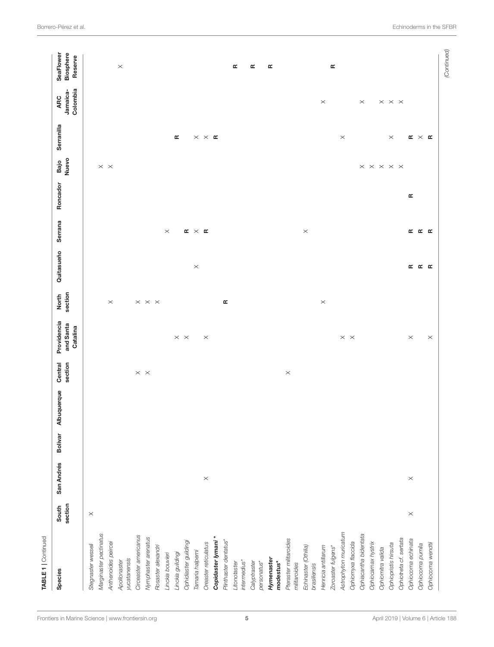| SeaFlower<br>Reserve<br>$\times$<br>$\simeq$<br>œ<br>$\propto$<br>$\simeq$<br>Colombia<br>Jamaica-<br><b>ARC</b><br>$\times~\times~\times$<br>$\times$<br>$\times$<br>Serranilla<br>$\simeq$<br>$\times$ $\times$ $\times$<br>$\times$<br>$\times$<br>$\mathbf{r}\times\mathbf{r}$<br><b>Nuevo</b><br>Bajo<br>$\times$ $\times$ $\times$ $\times$ $\times$<br>$\times~\times$<br>Roncador<br>œ<br>Serrana<br>$x \times x$<br><b>EEE</b><br>$\times$<br>$\times$<br>Quitasueño<br><b>K K K</b><br>$\times$<br>section<br><b>North</b><br>$\times~\times~\times$<br>$\times$<br>$\simeq$<br>$\times$<br>Providencia<br>and Santa<br>Catalina<br>$\times~\times$<br>$\times$<br>$\times~\times$<br>$\times$<br>$\times$<br>Central<br>section<br>$\times~\times$<br>$\times$<br>Albuquerque<br><b>Bolivar</b><br>San Andrés<br>$\times$<br>$\times$<br>section<br>South<br>$\times$<br>$\times$<br>Astrophyton muricatum<br>Marginaster pectinatus<br>Ophiacantha bidentata<br>Circeaster americanus<br>Copidaster lymani*<br>Nymphaster arenatus<br>Ophiotreta cf. sertata<br>Pteraster militaroides<br>Ophiocoma echinata<br>Plinthaster dentatus*<br>Ophidiaster guildingi<br>Oreaster reticulatus<br>Ophiomyxa flaccida<br>Ophiocamax hystrix<br>Anthenoides peircei<br>Ophiopristis hirsuta<br>Ophiocoma wendtii<br>Ophiocoma pumila<br>Stegnaster wesseli<br>Rosaster alexandri<br>Echinaster (Othilia)<br>Henricia antillarum<br>Zoroaster fulgens*<br>Ophiomitra valida<br>Tamaria halperni<br>Linckia guildingi<br>Linckia bouvieri<br>yucatanensis<br>Hymenaster<br>Apollonaster<br>intermedius*<br>personatus*<br>Calyptraster<br>modestus*<br>Litonotaster<br>militaroides<br>brasiliensis<br>Species | <b>TABLE 1</b>   Continued |  |  |  |  |  |  |           |
|----------------------------------------------------------------------------------------------------------------------------------------------------------------------------------------------------------------------------------------------------------------------------------------------------------------------------------------------------------------------------------------------------------------------------------------------------------------------------------------------------------------------------------------------------------------------------------------------------------------------------------------------------------------------------------------------------------------------------------------------------------------------------------------------------------------------------------------------------------------------------------------------------------------------------------------------------------------------------------------------------------------------------------------------------------------------------------------------------------------------------------------------------------------------------------------------------------------------------------------------------------------------------------------------------------------------------------------------------------------------------------------------------------------------------------------------------------------------------------------------------------------------------------------------------------------------------------------------------------------------------------------------------------------------------------------------------------------|----------------------------|--|--|--|--|--|--|-----------|
|                                                                                                                                                                                                                                                                                                                                                                                                                                                                                                                                                                                                                                                                                                                                                                                                                                                                                                                                                                                                                                                                                                                                                                                                                                                                                                                                                                                                                                                                                                                                                                                                                                                                                                                |                            |  |  |  |  |  |  | Biosphere |
|                                                                                                                                                                                                                                                                                                                                                                                                                                                                                                                                                                                                                                                                                                                                                                                                                                                                                                                                                                                                                                                                                                                                                                                                                                                                                                                                                                                                                                                                                                                                                                                                                                                                                                                |                            |  |  |  |  |  |  |           |
|                                                                                                                                                                                                                                                                                                                                                                                                                                                                                                                                                                                                                                                                                                                                                                                                                                                                                                                                                                                                                                                                                                                                                                                                                                                                                                                                                                                                                                                                                                                                                                                                                                                                                                                |                            |  |  |  |  |  |  |           |
|                                                                                                                                                                                                                                                                                                                                                                                                                                                                                                                                                                                                                                                                                                                                                                                                                                                                                                                                                                                                                                                                                                                                                                                                                                                                                                                                                                                                                                                                                                                                                                                                                                                                                                                |                            |  |  |  |  |  |  |           |
|                                                                                                                                                                                                                                                                                                                                                                                                                                                                                                                                                                                                                                                                                                                                                                                                                                                                                                                                                                                                                                                                                                                                                                                                                                                                                                                                                                                                                                                                                                                                                                                                                                                                                                                |                            |  |  |  |  |  |  |           |
|                                                                                                                                                                                                                                                                                                                                                                                                                                                                                                                                                                                                                                                                                                                                                                                                                                                                                                                                                                                                                                                                                                                                                                                                                                                                                                                                                                                                                                                                                                                                                                                                                                                                                                                |                            |  |  |  |  |  |  |           |
|                                                                                                                                                                                                                                                                                                                                                                                                                                                                                                                                                                                                                                                                                                                                                                                                                                                                                                                                                                                                                                                                                                                                                                                                                                                                                                                                                                                                                                                                                                                                                                                                                                                                                                                |                            |  |  |  |  |  |  |           |
|                                                                                                                                                                                                                                                                                                                                                                                                                                                                                                                                                                                                                                                                                                                                                                                                                                                                                                                                                                                                                                                                                                                                                                                                                                                                                                                                                                                                                                                                                                                                                                                                                                                                                                                |                            |  |  |  |  |  |  |           |
|                                                                                                                                                                                                                                                                                                                                                                                                                                                                                                                                                                                                                                                                                                                                                                                                                                                                                                                                                                                                                                                                                                                                                                                                                                                                                                                                                                                                                                                                                                                                                                                                                                                                                                                |                            |  |  |  |  |  |  |           |
|                                                                                                                                                                                                                                                                                                                                                                                                                                                                                                                                                                                                                                                                                                                                                                                                                                                                                                                                                                                                                                                                                                                                                                                                                                                                                                                                                                                                                                                                                                                                                                                                                                                                                                                |                            |  |  |  |  |  |  |           |
|                                                                                                                                                                                                                                                                                                                                                                                                                                                                                                                                                                                                                                                                                                                                                                                                                                                                                                                                                                                                                                                                                                                                                                                                                                                                                                                                                                                                                                                                                                                                                                                                                                                                                                                |                            |  |  |  |  |  |  |           |
|                                                                                                                                                                                                                                                                                                                                                                                                                                                                                                                                                                                                                                                                                                                                                                                                                                                                                                                                                                                                                                                                                                                                                                                                                                                                                                                                                                                                                                                                                                                                                                                                                                                                                                                |                            |  |  |  |  |  |  |           |
|                                                                                                                                                                                                                                                                                                                                                                                                                                                                                                                                                                                                                                                                                                                                                                                                                                                                                                                                                                                                                                                                                                                                                                                                                                                                                                                                                                                                                                                                                                                                                                                                                                                                                                                |                            |  |  |  |  |  |  |           |
|                                                                                                                                                                                                                                                                                                                                                                                                                                                                                                                                                                                                                                                                                                                                                                                                                                                                                                                                                                                                                                                                                                                                                                                                                                                                                                                                                                                                                                                                                                                                                                                                                                                                                                                |                            |  |  |  |  |  |  |           |
|                                                                                                                                                                                                                                                                                                                                                                                                                                                                                                                                                                                                                                                                                                                                                                                                                                                                                                                                                                                                                                                                                                                                                                                                                                                                                                                                                                                                                                                                                                                                                                                                                                                                                                                |                            |  |  |  |  |  |  |           |
|                                                                                                                                                                                                                                                                                                                                                                                                                                                                                                                                                                                                                                                                                                                                                                                                                                                                                                                                                                                                                                                                                                                                                                                                                                                                                                                                                                                                                                                                                                                                                                                                                                                                                                                |                            |  |  |  |  |  |  |           |
|                                                                                                                                                                                                                                                                                                                                                                                                                                                                                                                                                                                                                                                                                                                                                                                                                                                                                                                                                                                                                                                                                                                                                                                                                                                                                                                                                                                                                                                                                                                                                                                                                                                                                                                |                            |  |  |  |  |  |  |           |
|                                                                                                                                                                                                                                                                                                                                                                                                                                                                                                                                                                                                                                                                                                                                                                                                                                                                                                                                                                                                                                                                                                                                                                                                                                                                                                                                                                                                                                                                                                                                                                                                                                                                                                                |                            |  |  |  |  |  |  |           |
|                                                                                                                                                                                                                                                                                                                                                                                                                                                                                                                                                                                                                                                                                                                                                                                                                                                                                                                                                                                                                                                                                                                                                                                                                                                                                                                                                                                                                                                                                                                                                                                                                                                                                                                |                            |  |  |  |  |  |  |           |
|                                                                                                                                                                                                                                                                                                                                                                                                                                                                                                                                                                                                                                                                                                                                                                                                                                                                                                                                                                                                                                                                                                                                                                                                                                                                                                                                                                                                                                                                                                                                                                                                                                                                                                                |                            |  |  |  |  |  |  |           |
|                                                                                                                                                                                                                                                                                                                                                                                                                                                                                                                                                                                                                                                                                                                                                                                                                                                                                                                                                                                                                                                                                                                                                                                                                                                                                                                                                                                                                                                                                                                                                                                                                                                                                                                |                            |  |  |  |  |  |  |           |
|                                                                                                                                                                                                                                                                                                                                                                                                                                                                                                                                                                                                                                                                                                                                                                                                                                                                                                                                                                                                                                                                                                                                                                                                                                                                                                                                                                                                                                                                                                                                                                                                                                                                                                                |                            |  |  |  |  |  |  |           |
|                                                                                                                                                                                                                                                                                                                                                                                                                                                                                                                                                                                                                                                                                                                                                                                                                                                                                                                                                                                                                                                                                                                                                                                                                                                                                                                                                                                                                                                                                                                                                                                                                                                                                                                |                            |  |  |  |  |  |  |           |
|                                                                                                                                                                                                                                                                                                                                                                                                                                                                                                                                                                                                                                                                                                                                                                                                                                                                                                                                                                                                                                                                                                                                                                                                                                                                                                                                                                                                                                                                                                                                                                                                                                                                                                                |                            |  |  |  |  |  |  |           |
|                                                                                                                                                                                                                                                                                                                                                                                                                                                                                                                                                                                                                                                                                                                                                                                                                                                                                                                                                                                                                                                                                                                                                                                                                                                                                                                                                                                                                                                                                                                                                                                                                                                                                                                |                            |  |  |  |  |  |  |           |
|                                                                                                                                                                                                                                                                                                                                                                                                                                                                                                                                                                                                                                                                                                                                                                                                                                                                                                                                                                                                                                                                                                                                                                                                                                                                                                                                                                                                                                                                                                                                                                                                                                                                                                                |                            |  |  |  |  |  |  |           |
|                                                                                                                                                                                                                                                                                                                                                                                                                                                                                                                                                                                                                                                                                                                                                                                                                                                                                                                                                                                                                                                                                                                                                                                                                                                                                                                                                                                                                                                                                                                                                                                                                                                                                                                |                            |  |  |  |  |  |  |           |
|                                                                                                                                                                                                                                                                                                                                                                                                                                                                                                                                                                                                                                                                                                                                                                                                                                                                                                                                                                                                                                                                                                                                                                                                                                                                                                                                                                                                                                                                                                                                                                                                                                                                                                                |                            |  |  |  |  |  |  |           |
|                                                                                                                                                                                                                                                                                                                                                                                                                                                                                                                                                                                                                                                                                                                                                                                                                                                                                                                                                                                                                                                                                                                                                                                                                                                                                                                                                                                                                                                                                                                                                                                                                                                                                                                |                            |  |  |  |  |  |  |           |
|                                                                                                                                                                                                                                                                                                                                                                                                                                                                                                                                                                                                                                                                                                                                                                                                                                                                                                                                                                                                                                                                                                                                                                                                                                                                                                                                                                                                                                                                                                                                                                                                                                                                                                                |                            |  |  |  |  |  |  |           |
|                                                                                                                                                                                                                                                                                                                                                                                                                                                                                                                                                                                                                                                                                                                                                                                                                                                                                                                                                                                                                                                                                                                                                                                                                                                                                                                                                                                                                                                                                                                                                                                                                                                                                                                |                            |  |  |  |  |  |  |           |
|                                                                                                                                                                                                                                                                                                                                                                                                                                                                                                                                                                                                                                                                                                                                                                                                                                                                                                                                                                                                                                                                                                                                                                                                                                                                                                                                                                                                                                                                                                                                                                                                                                                                                                                |                            |  |  |  |  |  |  |           |
|                                                                                                                                                                                                                                                                                                                                                                                                                                                                                                                                                                                                                                                                                                                                                                                                                                                                                                                                                                                                                                                                                                                                                                                                                                                                                                                                                                                                                                                                                                                                                                                                                                                                                                                |                            |  |  |  |  |  |  |           |
|                                                                                                                                                                                                                                                                                                                                                                                                                                                                                                                                                                                                                                                                                                                                                                                                                                                                                                                                                                                                                                                                                                                                                                                                                                                                                                                                                                                                                                                                                                                                                                                                                                                                                                                |                            |  |  |  |  |  |  |           |
|                                                                                                                                                                                                                                                                                                                                                                                                                                                                                                                                                                                                                                                                                                                                                                                                                                                                                                                                                                                                                                                                                                                                                                                                                                                                                                                                                                                                                                                                                                                                                                                                                                                                                                                |                            |  |  |  |  |  |  |           |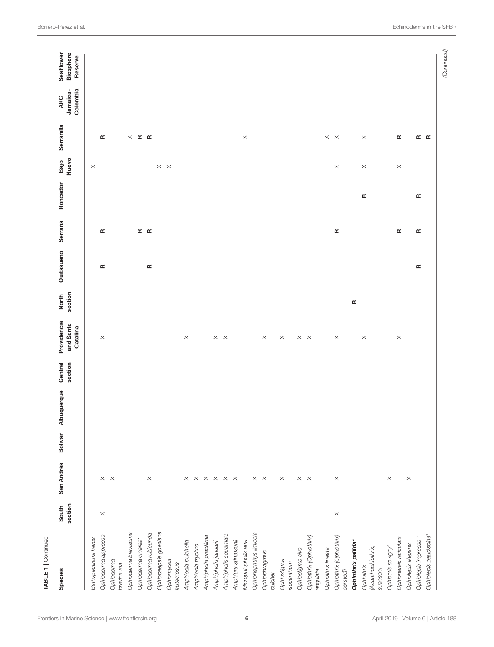| Albuquerque<br><b>Bolivar</b><br>San Andrés<br>$\times~\times$<br>$\times$ $\times$ $\times$ $\times$ $\times$ $\times$<br>$\times~\times$<br>$\times$<br>$\times$<br>$\times~\times$<br>$\times$<br>section<br>South<br>$\times$<br>$\times$<br>Ophiopaepale goesiana<br>Ophioderma brevispina<br>Ophionephthys limicola<br>Ophioderma rubicunda<br>Amphipholis squamata<br>Ophioderma appressa<br>Amphipholis gracillima<br>Ophiothrix (Ophiothrix)<br>Ophiothrix (Ophiothrix)<br>Bathypectinura heros<br>Ophioderma cinerea<br>Amphiura stimpsonii<br>Microphiopholis atra<br>Amphiodia pulchella<br>Amphipholis januarii<br>Amphiodia trychna<br>Ophiostigma siva<br>Ophiothrix lineata<br>Ophiophragmus<br>Ophiomyces<br>Ophiostigma<br>Ophioderma<br>isocanthum<br>frutectosus<br>brevicauda<br>Species<br>angulata<br>pulcher | Central<br>section | section<br><b>North</b><br>Providencia<br>and Santa<br>Catalina<br>$\times$ | Quitasueño | Serrana             | Roncador | Nuevo<br>Bajo   | Serranilla          | Colombia<br>Jamaica-<br><b>ARC</b> | SeaFlower<br><b>Biosphere</b><br>Reserve |
|--------------------------------------------------------------------------------------------------------------------------------------------------------------------------------------------------------------------------------------------------------------------------------------------------------------------------------------------------------------------------------------------------------------------------------------------------------------------------------------------------------------------------------------------------------------------------------------------------------------------------------------------------------------------------------------------------------------------------------------------------------------------------------------------------------------------------------------|--------------------|-----------------------------------------------------------------------------|------------|---------------------|----------|-----------------|---------------------|------------------------------------|------------------------------------------|
|                                                                                                                                                                                                                                                                                                                                                                                                                                                                                                                                                                                                                                                                                                                                                                                                                                      |                    |                                                                             |            |                     |          |                 |                     |                                    |                                          |
|                                                                                                                                                                                                                                                                                                                                                                                                                                                                                                                                                                                                                                                                                                                                                                                                                                      |                    |                                                                             |            |                     |          | $\times$        |                     |                                    |                                          |
|                                                                                                                                                                                                                                                                                                                                                                                                                                                                                                                                                                                                                                                                                                                                                                                                                                      |                    |                                                                             | Œ          | Œ                   |          |                 | Œ                   |                                    |                                          |
|                                                                                                                                                                                                                                                                                                                                                                                                                                                                                                                                                                                                                                                                                                                                                                                                                                      |                    |                                                                             |            |                     |          |                 |                     |                                    |                                          |
|                                                                                                                                                                                                                                                                                                                                                                                                                                                                                                                                                                                                                                                                                                                                                                                                                                      |                    |                                                                             |            |                     |          |                 | $\times$            |                                    |                                          |
|                                                                                                                                                                                                                                                                                                                                                                                                                                                                                                                                                                                                                                                                                                                                                                                                                                      |                    |                                                                             |            |                     |          |                 | $\alpha$ $\alpha$   |                                    |                                          |
|                                                                                                                                                                                                                                                                                                                                                                                                                                                                                                                                                                                                                                                                                                                                                                                                                                      |                    |                                                                             | $\simeq$   | $\approx$ $\approx$ |          |                 |                     |                                    |                                          |
|                                                                                                                                                                                                                                                                                                                                                                                                                                                                                                                                                                                                                                                                                                                                                                                                                                      |                    |                                                                             |            |                     |          | $\times~\times$ |                     |                                    |                                          |
|                                                                                                                                                                                                                                                                                                                                                                                                                                                                                                                                                                                                                                                                                                                                                                                                                                      |                    |                                                                             |            |                     |          |                 |                     |                                    |                                          |
|                                                                                                                                                                                                                                                                                                                                                                                                                                                                                                                                                                                                                                                                                                                                                                                                                                      |                    | $\times$                                                                    |            |                     |          |                 |                     |                                    |                                          |
|                                                                                                                                                                                                                                                                                                                                                                                                                                                                                                                                                                                                                                                                                                                                                                                                                                      |                    |                                                                             |            |                     |          |                 |                     |                                    |                                          |
|                                                                                                                                                                                                                                                                                                                                                                                                                                                                                                                                                                                                                                                                                                                                                                                                                                      |                    |                                                                             |            |                     |          |                 |                     |                                    |                                          |
|                                                                                                                                                                                                                                                                                                                                                                                                                                                                                                                                                                                                                                                                                                                                                                                                                                      |                    | $\times~\times$                                                             |            |                     |          |                 |                     |                                    |                                          |
|                                                                                                                                                                                                                                                                                                                                                                                                                                                                                                                                                                                                                                                                                                                                                                                                                                      |                    |                                                                             |            |                     |          |                 |                     |                                    |                                          |
|                                                                                                                                                                                                                                                                                                                                                                                                                                                                                                                                                                                                                                                                                                                                                                                                                                      |                    |                                                                             |            |                     |          |                 |                     |                                    |                                          |
|                                                                                                                                                                                                                                                                                                                                                                                                                                                                                                                                                                                                                                                                                                                                                                                                                                      |                    |                                                                             |            |                     |          |                 | $\times$            |                                    |                                          |
|                                                                                                                                                                                                                                                                                                                                                                                                                                                                                                                                                                                                                                                                                                                                                                                                                                      |                    |                                                                             |            |                     |          |                 |                     |                                    |                                          |
|                                                                                                                                                                                                                                                                                                                                                                                                                                                                                                                                                                                                                                                                                                                                                                                                                                      |                    | $\times$                                                                    |            |                     |          |                 |                     |                                    |                                          |
|                                                                                                                                                                                                                                                                                                                                                                                                                                                                                                                                                                                                                                                                                                                                                                                                                                      |                    |                                                                             |            |                     |          |                 |                     |                                    |                                          |
|                                                                                                                                                                                                                                                                                                                                                                                                                                                                                                                                                                                                                                                                                                                                                                                                                                      |                    | $\times$                                                                    |            |                     |          |                 |                     |                                    |                                          |
|                                                                                                                                                                                                                                                                                                                                                                                                                                                                                                                                                                                                                                                                                                                                                                                                                                      |                    |                                                                             |            |                     |          |                 |                     |                                    |                                          |
|                                                                                                                                                                                                                                                                                                                                                                                                                                                                                                                                                                                                                                                                                                                                                                                                                                      |                    | $\times~\times$                                                             |            |                     |          |                 |                     |                                    |                                          |
|                                                                                                                                                                                                                                                                                                                                                                                                                                                                                                                                                                                                                                                                                                                                                                                                                                      |                    |                                                                             |            |                     |          |                 |                     |                                    |                                          |
| oerstediï                                                                                                                                                                                                                                                                                                                                                                                                                                                                                                                                                                                                                                                                                                                                                                                                                            |                    | $\times$                                                                    |            | $\simeq$            |          | $\times$        | $\times~\times$     |                                    |                                          |
| Ophiothrix pallida*                                                                                                                                                                                                                                                                                                                                                                                                                                                                                                                                                                                                                                                                                                                                                                                                                  |                    | $\simeq$                                                                    |            |                     |          |                 |                     |                                    |                                          |
| Ophiothrix                                                                                                                                                                                                                                                                                                                                                                                                                                                                                                                                                                                                                                                                                                                                                                                                                           |                    | $\times$                                                                    |            |                     | $\simeq$ | $\times$        | $\times$            |                                    |                                          |
| (Acanthophiothrix)<br>suensoni                                                                                                                                                                                                                                                                                                                                                                                                                                                                                                                                                                                                                                                                                                                                                                                                       |                    |                                                                             |            |                     |          |                 |                     |                                    |                                          |
| $\times$<br>Ophiactis savignyi                                                                                                                                                                                                                                                                                                                                                                                                                                                                                                                                                                                                                                                                                                                                                                                                       |                    |                                                                             |            |                     |          |                 |                     |                                    |                                          |
| Ophionereis reticulata                                                                                                                                                                                                                                                                                                                                                                                                                                                                                                                                                                                                                                                                                                                                                                                                               |                    | $\times$                                                                    |            | Œ                   |          | $\times$        | $\simeq$            |                                    |                                          |
| $\times$<br>Ophiolepis elegans                                                                                                                                                                                                                                                                                                                                                                                                                                                                                                                                                                                                                                                                                                                                                                                                       |                    |                                                                             |            |                     |          |                 |                     |                                    |                                          |
| Ophiolepis impressa *                                                                                                                                                                                                                                                                                                                                                                                                                                                                                                                                                                                                                                                                                                                                                                                                                |                    |                                                                             | œ          | œ                   | œ        |                 | $\approx$ $\approx$ |                                    |                                          |
| Ophiolepis paucispina*                                                                                                                                                                                                                                                                                                                                                                                                                                                                                                                                                                                                                                                                                                                                                                                                               |                    |                                                                             |            |                     |          |                 |                     |                                    |                                          |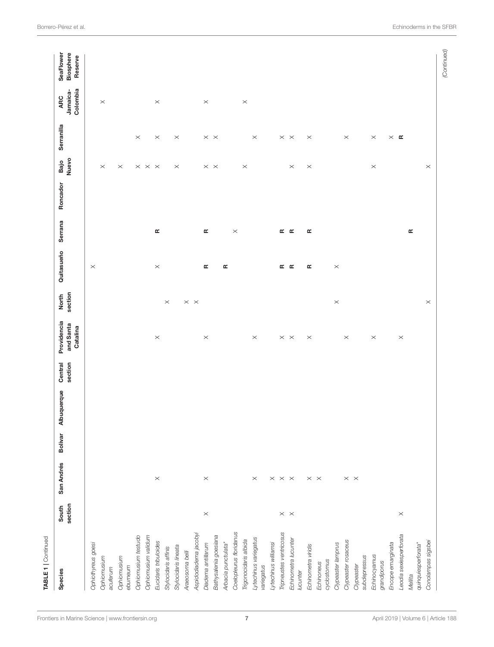| SeaFlower<br>Biosphere<br>Reserve<br>Colombia<br>Jamaica-<br><b>ARC</b><br>$\times$<br>$\times$<br>$\times$<br>$\times$<br>Serranilla<br>$\times~\times$<br>$\times$<br>$\times~\times$<br>$\times$<br>$\times$ $\alpha$<br>$\times$<br>$\times$<br>$\times$<br>$\times$<br>$\times$<br>Nuevo<br>Bajo<br>$\times$ $\times$<br>$\times$<br>$\times$<br>$\times$<br>$\times$<br>$\times$<br>$\times~\times$<br>$\times$<br>$\times$<br>$\times$<br>$\times$<br>Roncador<br>Serrana<br>Œ<br>Œ<br>$\alpha$ $\alpha$<br>$\simeq$<br>$\times$<br>œ<br>Quitasueño<br>$\times$<br>Œ<br>œ<br>Œ<br>Œ<br>$\times$<br>$\alpha$<br>$\times$<br>section<br><b>North</b><br>$\times~\times$<br>$\times$<br>$\times$<br>$\times$<br>Providencia<br>and Santa<br>Catalina<br>$\times$<br>$\times$<br>$\times$<br>$\times~\times$<br>$\times$<br>$\times$<br>$\times$<br>$\times$<br>Central<br>section<br>Albuquerque<br><b>Bolivar</b><br>San Andrés<br>$\times~\times$<br>$\times$<br>$\times$<br>$\times$<br>$\times~\times~\times$<br>$\times~\times$<br>section<br>South<br>$\times$<br>$\times~\times$<br>$\times$<br>Coelopleurus floridanus<br>Tripneustes ventricosus<br>Aspidodiadema jacobyi<br>Leodia sexiesperforata<br>Ophiomusium testudo<br>Bathysalenia goesiana<br>Ophiomusium validum<br>Lytechinus variegatus<br>Echinometra lucunter<br>Trigonocidaris albida<br>Clypeaster rosaceus<br>Conolampas sigsbei<br>Eucidaris tribuloides<br>Encope emarginata<br>Lytechinus williamsi<br>Arbacia punctulata*<br>Ophiothyreus goesi<br>Clypeaster lamprus<br>quinquiesperforata*<br>Diadema antillarum<br>Echinometra viridis<br>Stylocidaris lineata<br>Stylocidaris affinis<br>Araeosoma belli<br>Echinocyamus<br>subdepressus<br>Ophiomusium<br>Ophiomusium<br>cyclostomus<br>grandiporus<br>Echinoneus<br>variegatus<br>Clypeaster<br>eburneum<br>acuferum<br>Species<br>lucunter<br>Mellita |  |  |  |  |
|------------------------------------------------------------------------------------------------------------------------------------------------------------------------------------------------------------------------------------------------------------------------------------------------------------------------------------------------------------------------------------------------------------------------------------------------------------------------------------------------------------------------------------------------------------------------------------------------------------------------------------------------------------------------------------------------------------------------------------------------------------------------------------------------------------------------------------------------------------------------------------------------------------------------------------------------------------------------------------------------------------------------------------------------------------------------------------------------------------------------------------------------------------------------------------------------------------------------------------------------------------------------------------------------------------------------------------------------------------------------------------------------------------------------------------------------------------------------------------------------------------------------------------------------------------------------------------------------------------------------------------------------------------------------------------------------------------------------------------------------------------------------------------------------------------------------------------------------------------------------------------------------|--|--|--|--|
|                                                                                                                                                                                                                                                                                                                                                                                                                                                                                                                                                                                                                                                                                                                                                                                                                                                                                                                                                                                                                                                                                                                                                                                                                                                                                                                                                                                                                                                                                                                                                                                                                                                                                                                                                                                                                                                                                                |  |  |  |  |
|                                                                                                                                                                                                                                                                                                                                                                                                                                                                                                                                                                                                                                                                                                                                                                                                                                                                                                                                                                                                                                                                                                                                                                                                                                                                                                                                                                                                                                                                                                                                                                                                                                                                                                                                                                                                                                                                                                |  |  |  |  |
|                                                                                                                                                                                                                                                                                                                                                                                                                                                                                                                                                                                                                                                                                                                                                                                                                                                                                                                                                                                                                                                                                                                                                                                                                                                                                                                                                                                                                                                                                                                                                                                                                                                                                                                                                                                                                                                                                                |  |  |  |  |
|                                                                                                                                                                                                                                                                                                                                                                                                                                                                                                                                                                                                                                                                                                                                                                                                                                                                                                                                                                                                                                                                                                                                                                                                                                                                                                                                                                                                                                                                                                                                                                                                                                                                                                                                                                                                                                                                                                |  |  |  |  |
|                                                                                                                                                                                                                                                                                                                                                                                                                                                                                                                                                                                                                                                                                                                                                                                                                                                                                                                                                                                                                                                                                                                                                                                                                                                                                                                                                                                                                                                                                                                                                                                                                                                                                                                                                                                                                                                                                                |  |  |  |  |
|                                                                                                                                                                                                                                                                                                                                                                                                                                                                                                                                                                                                                                                                                                                                                                                                                                                                                                                                                                                                                                                                                                                                                                                                                                                                                                                                                                                                                                                                                                                                                                                                                                                                                                                                                                                                                                                                                                |  |  |  |  |
|                                                                                                                                                                                                                                                                                                                                                                                                                                                                                                                                                                                                                                                                                                                                                                                                                                                                                                                                                                                                                                                                                                                                                                                                                                                                                                                                                                                                                                                                                                                                                                                                                                                                                                                                                                                                                                                                                                |  |  |  |  |
|                                                                                                                                                                                                                                                                                                                                                                                                                                                                                                                                                                                                                                                                                                                                                                                                                                                                                                                                                                                                                                                                                                                                                                                                                                                                                                                                                                                                                                                                                                                                                                                                                                                                                                                                                                                                                                                                                                |  |  |  |  |
|                                                                                                                                                                                                                                                                                                                                                                                                                                                                                                                                                                                                                                                                                                                                                                                                                                                                                                                                                                                                                                                                                                                                                                                                                                                                                                                                                                                                                                                                                                                                                                                                                                                                                                                                                                                                                                                                                                |  |  |  |  |
|                                                                                                                                                                                                                                                                                                                                                                                                                                                                                                                                                                                                                                                                                                                                                                                                                                                                                                                                                                                                                                                                                                                                                                                                                                                                                                                                                                                                                                                                                                                                                                                                                                                                                                                                                                                                                                                                                                |  |  |  |  |
|                                                                                                                                                                                                                                                                                                                                                                                                                                                                                                                                                                                                                                                                                                                                                                                                                                                                                                                                                                                                                                                                                                                                                                                                                                                                                                                                                                                                                                                                                                                                                                                                                                                                                                                                                                                                                                                                                                |  |  |  |  |
|                                                                                                                                                                                                                                                                                                                                                                                                                                                                                                                                                                                                                                                                                                                                                                                                                                                                                                                                                                                                                                                                                                                                                                                                                                                                                                                                                                                                                                                                                                                                                                                                                                                                                                                                                                                                                                                                                                |  |  |  |  |
|                                                                                                                                                                                                                                                                                                                                                                                                                                                                                                                                                                                                                                                                                                                                                                                                                                                                                                                                                                                                                                                                                                                                                                                                                                                                                                                                                                                                                                                                                                                                                                                                                                                                                                                                                                                                                                                                                                |  |  |  |  |
|                                                                                                                                                                                                                                                                                                                                                                                                                                                                                                                                                                                                                                                                                                                                                                                                                                                                                                                                                                                                                                                                                                                                                                                                                                                                                                                                                                                                                                                                                                                                                                                                                                                                                                                                                                                                                                                                                                |  |  |  |  |
|                                                                                                                                                                                                                                                                                                                                                                                                                                                                                                                                                                                                                                                                                                                                                                                                                                                                                                                                                                                                                                                                                                                                                                                                                                                                                                                                                                                                                                                                                                                                                                                                                                                                                                                                                                                                                                                                                                |  |  |  |  |
|                                                                                                                                                                                                                                                                                                                                                                                                                                                                                                                                                                                                                                                                                                                                                                                                                                                                                                                                                                                                                                                                                                                                                                                                                                                                                                                                                                                                                                                                                                                                                                                                                                                                                                                                                                                                                                                                                                |  |  |  |  |
|                                                                                                                                                                                                                                                                                                                                                                                                                                                                                                                                                                                                                                                                                                                                                                                                                                                                                                                                                                                                                                                                                                                                                                                                                                                                                                                                                                                                                                                                                                                                                                                                                                                                                                                                                                                                                                                                                                |  |  |  |  |
|                                                                                                                                                                                                                                                                                                                                                                                                                                                                                                                                                                                                                                                                                                                                                                                                                                                                                                                                                                                                                                                                                                                                                                                                                                                                                                                                                                                                                                                                                                                                                                                                                                                                                                                                                                                                                                                                                                |  |  |  |  |
|                                                                                                                                                                                                                                                                                                                                                                                                                                                                                                                                                                                                                                                                                                                                                                                                                                                                                                                                                                                                                                                                                                                                                                                                                                                                                                                                                                                                                                                                                                                                                                                                                                                                                                                                                                                                                                                                                                |  |  |  |  |
|                                                                                                                                                                                                                                                                                                                                                                                                                                                                                                                                                                                                                                                                                                                                                                                                                                                                                                                                                                                                                                                                                                                                                                                                                                                                                                                                                                                                                                                                                                                                                                                                                                                                                                                                                                                                                                                                                                |  |  |  |  |
|                                                                                                                                                                                                                                                                                                                                                                                                                                                                                                                                                                                                                                                                                                                                                                                                                                                                                                                                                                                                                                                                                                                                                                                                                                                                                                                                                                                                                                                                                                                                                                                                                                                                                                                                                                                                                                                                                                |  |  |  |  |
|                                                                                                                                                                                                                                                                                                                                                                                                                                                                                                                                                                                                                                                                                                                                                                                                                                                                                                                                                                                                                                                                                                                                                                                                                                                                                                                                                                                                                                                                                                                                                                                                                                                                                                                                                                                                                                                                                                |  |  |  |  |
|                                                                                                                                                                                                                                                                                                                                                                                                                                                                                                                                                                                                                                                                                                                                                                                                                                                                                                                                                                                                                                                                                                                                                                                                                                                                                                                                                                                                                                                                                                                                                                                                                                                                                                                                                                                                                                                                                                |  |  |  |  |
|                                                                                                                                                                                                                                                                                                                                                                                                                                                                                                                                                                                                                                                                                                                                                                                                                                                                                                                                                                                                                                                                                                                                                                                                                                                                                                                                                                                                                                                                                                                                                                                                                                                                                                                                                                                                                                                                                                |  |  |  |  |
|                                                                                                                                                                                                                                                                                                                                                                                                                                                                                                                                                                                                                                                                                                                                                                                                                                                                                                                                                                                                                                                                                                                                                                                                                                                                                                                                                                                                                                                                                                                                                                                                                                                                                                                                                                                                                                                                                                |  |  |  |  |
|                                                                                                                                                                                                                                                                                                                                                                                                                                                                                                                                                                                                                                                                                                                                                                                                                                                                                                                                                                                                                                                                                                                                                                                                                                                                                                                                                                                                                                                                                                                                                                                                                                                                                                                                                                                                                                                                                                |  |  |  |  |
|                                                                                                                                                                                                                                                                                                                                                                                                                                                                                                                                                                                                                                                                                                                                                                                                                                                                                                                                                                                                                                                                                                                                                                                                                                                                                                                                                                                                                                                                                                                                                                                                                                                                                                                                                                                                                                                                                                |  |  |  |  |
|                                                                                                                                                                                                                                                                                                                                                                                                                                                                                                                                                                                                                                                                                                                                                                                                                                                                                                                                                                                                                                                                                                                                                                                                                                                                                                                                                                                                                                                                                                                                                                                                                                                                                                                                                                                                                                                                                                |  |  |  |  |
|                                                                                                                                                                                                                                                                                                                                                                                                                                                                                                                                                                                                                                                                                                                                                                                                                                                                                                                                                                                                                                                                                                                                                                                                                                                                                                                                                                                                                                                                                                                                                                                                                                                                                                                                                                                                                                                                                                |  |  |  |  |
|                                                                                                                                                                                                                                                                                                                                                                                                                                                                                                                                                                                                                                                                                                                                                                                                                                                                                                                                                                                                                                                                                                                                                                                                                                                                                                                                                                                                                                                                                                                                                                                                                                                                                                                                                                                                                                                                                                |  |  |  |  |
|                                                                                                                                                                                                                                                                                                                                                                                                                                                                                                                                                                                                                                                                                                                                                                                                                                                                                                                                                                                                                                                                                                                                                                                                                                                                                                                                                                                                                                                                                                                                                                                                                                                                                                                                                                                                                                                                                                |  |  |  |  |
|                                                                                                                                                                                                                                                                                                                                                                                                                                                                                                                                                                                                                                                                                                                                                                                                                                                                                                                                                                                                                                                                                                                                                                                                                                                                                                                                                                                                                                                                                                                                                                                                                                                                                                                                                                                                                                                                                                |  |  |  |  |
|                                                                                                                                                                                                                                                                                                                                                                                                                                                                                                                                                                                                                                                                                                                                                                                                                                                                                                                                                                                                                                                                                                                                                                                                                                                                                                                                                                                                                                                                                                                                                                                                                                                                                                                                                                                                                                                                                                |  |  |  |  |
|                                                                                                                                                                                                                                                                                                                                                                                                                                                                                                                                                                                                                                                                                                                                                                                                                                                                                                                                                                                                                                                                                                                                                                                                                                                                                                                                                                                                                                                                                                                                                                                                                                                                                                                                                                                                                                                                                                |  |  |  |  |
|                                                                                                                                                                                                                                                                                                                                                                                                                                                                                                                                                                                                                                                                                                                                                                                                                                                                                                                                                                                                                                                                                                                                                                                                                                                                                                                                                                                                                                                                                                                                                                                                                                                                                                                                                                                                                                                                                                |  |  |  |  |
|                                                                                                                                                                                                                                                                                                                                                                                                                                                                                                                                                                                                                                                                                                                                                                                                                                                                                                                                                                                                                                                                                                                                                                                                                                                                                                                                                                                                                                                                                                                                                                                                                                                                                                                                                                                                                                                                                                |  |  |  |  |

[Frontiers in Marine Science](https://www.frontiersin.org/journals/marine-science)| [www.frontiersin.org](https://www.frontiersin.org)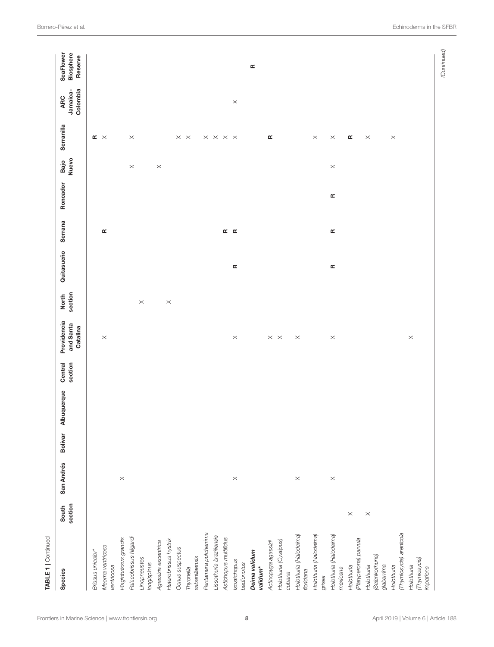| <b>TABLE 1</b>   Continued          |                  |            |                |             |                    |                                      |                         |            |                          |          |               |                                     |                                    |                                          |
|-------------------------------------|------------------|------------|----------------|-------------|--------------------|--------------------------------------|-------------------------|------------|--------------------------|----------|---------------|-------------------------------------|------------------------------------|------------------------------------------|
| Species                             | section<br>South | San Andrés | <b>Bolivar</b> | Albuquerque | Central<br>section | Providencia<br>and Santa<br>Catalina | section<br><b>North</b> | Quitasueño | Serrana                  | Roncador | Nuevo<br>Bajo | Serranilla                          | Jamaica-<br>Colombia<br><b>ARC</b> | SeaFlower<br><b>Biosphere</b><br>Reserve |
| Brissus unicolor <sup>s</sup>       |                  |            |                |             |                    |                                      |                         |            |                          |          |               |                                     |                                    |                                          |
| Meoma ventricosa<br>ventricosa      |                  |            |                |             |                    | $\times$                             |                         |            | Œ                        |          |               | $x \times$                          |                                    |                                          |
| Plagiobrissus grandis               |                  | $\times$   |                |             |                    |                                      |                         |            |                          |          |               |                                     |                                    |                                          |
| Palaeobrissus hilgardi              |                  |            |                |             |                    |                                      |                         |            |                          |          | $\times$      | $\times$                            |                                    |                                          |
| Linopneustes<br>longispinus         |                  |            |                |             |                    |                                      | $\times$                |            |                          |          |               |                                     |                                    |                                          |
| Agassizia excentrica                |                  |            |                |             |                    |                                      |                         |            |                          |          | $\times$      |                                     |                                    |                                          |
| Heterobrissus hystrix               |                  |            |                |             |                    |                                      | $\times$                |            |                          |          |               |                                     |                                    |                                          |
| Ocnus suspectus                     |                  |            |                |             |                    |                                      |                         |            |                          |          |               |                                     |                                    |                                          |
| sabanillaensis<br>Thyonella         |                  |            |                |             |                    |                                      |                         |            |                          |          |               | $\times~\times$                     |                                    |                                          |
| Pentamera pulcherrima               |                  |            |                |             |                    |                                      |                         |            |                          |          |               |                                     |                                    |                                          |
| Lissothuria braziliensis            |                  |            |                |             |                    |                                      |                         |            |                          |          |               |                                     |                                    |                                          |
| Astichopus multifidus               |                  |            |                |             |                    |                                      |                         |            | $\simeq$                 |          |               | $\times$ $\times$ $\times$ $\times$ |                                    |                                          |
| Isostichopus<br>badionotus          |                  | $\times$   |                |             |                    | $\times$                             |                         | $\simeq$   | $\mathbf{\alpha}$        |          |               |                                     | $\times$                           |                                          |
| Deima validum                       |                  |            |                |             |                    |                                      |                         |            |                          |          |               |                                     |                                    | œ                                        |
| validum*                            |                  |            |                |             |                    |                                      |                         |            |                          |          |               |                                     |                                    |                                          |
| Actinopyga agassizii                |                  |            |                |             |                    | $\times~\times$                      |                         |            |                          |          |               | $\simeq$                            |                                    |                                          |
| Holothuria (Cystipus)<br>cubana     |                  |            |                |             |                    |                                      |                         |            |                          |          |               |                                     |                                    |                                          |
|                                     |                  |            |                |             |                    |                                      |                         |            |                          |          |               |                                     |                                    |                                          |
| Holothuria (Halodeima)<br>floridana |                  | $\times$   |                |             |                    | $\times$                             |                         |            |                          |          |               |                                     |                                    |                                          |
| Holothuria (Halodeima)              |                  |            |                |             |                    |                                      |                         |            |                          |          |               | $\times$                            |                                    |                                          |
| grisea                              |                  |            |                |             |                    |                                      |                         |            |                          |          |               |                                     |                                    |                                          |
| Holothuria (Halodeima)<br>mexicana  |                  | $\times$   |                |             |                    | $\times$                             |                         | $\simeq$   | $\underline{\mathbf{c}}$ | $\simeq$ | $\times$      | $\times$                            |                                    |                                          |
| Holothuria                          | $\times$         |            |                |             |                    |                                      |                         |            |                          |          |               | $\simeq$                            |                                    |                                          |
| (Platyperona) parvula               |                  |            |                |             |                    |                                      |                         |            |                          |          |               |                                     |                                    |                                          |
| Holothuria                          | $\times$         |            |                |             |                    |                                      |                         |            |                          |          |               | $\times$                            |                                    |                                          |
| (Selenkothuria)<br>glaberrima       |                  |            |                |             |                    |                                      |                         |            |                          |          |               |                                     |                                    |                                          |
| Holothuria                          |                  |            |                |             |                    |                                      |                         |            |                          |          |               | $\times$                            |                                    |                                          |
| (Thymiosycia) arenicola             |                  |            |                |             |                    |                                      |                         |            |                          |          |               |                                     |                                    |                                          |
| Holothuria                          |                  |            |                |             |                    | $\times$                             |                         |            |                          |          |               |                                     |                                    |                                          |
| (Thymiosycia)                       |                  |            |                |             |                    |                                      |                         |            |                          |          |               |                                     |                                    |                                          |
| impatiens                           |                  |            |                |             |                    |                                      |                         |            |                          |          |               |                                     |                                    |                                          |
|                                     |                  |            |                |             |                    |                                      |                         |            |                          |          |               |                                     |                                    | (Continued)                              |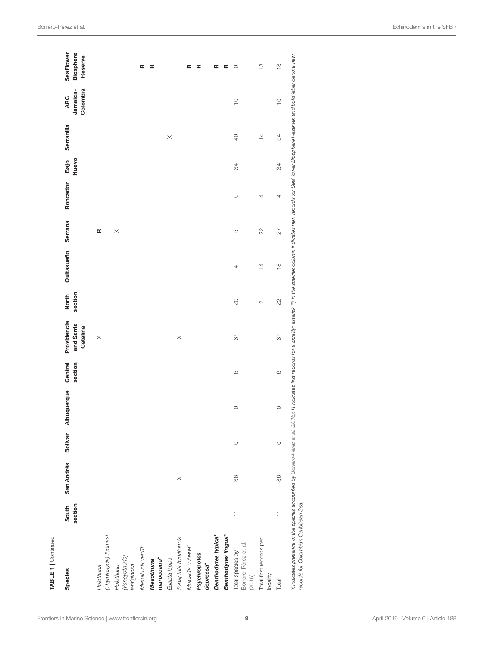| Species                                            | section<br>South | San Andrés | <b>Bolivar</b> | Albuquerque | section<br>Central | Providencia<br>and Santa<br>Catalina | section<br><b>North</b> | Quitasueño         | Serrana  | Roncador | <b>Nuevo</b><br>Bajo | Serranilla      | Colombia<br>Jamaica-<br><b>ARC</b> | SeaFlower<br>Biosphere<br>Reserve |
|----------------------------------------------------|------------------|------------|----------------|-------------|--------------------|--------------------------------------|-------------------------|--------------------|----------|----------|----------------------|-----------------|------------------------------------|-----------------------------------|
| Holothuria                                         |                  |            |                |             |                    | $\times$                             |                         |                    | œ        |          |                      |                 |                                    |                                   |
| (Thymiosycia) thomasi                              |                  |            |                |             |                    |                                      |                         |                    |          |          |                      |                 |                                    |                                   |
| Holothuria                                         |                  |            |                |             |                    |                                      |                         |                    | $\times$ |          |                      |                 |                                    |                                   |
| (Vaneyothuria)                                     |                  |            |                |             |                    |                                      |                         |                    |          |          |                      |                 |                                    |                                   |
| lentiginosa                                        |                  |            |                |             |                    |                                      |                         |                    |          |          |                      |                 |                                    |                                   |
| Mesothuria verrilli*                               |                  |            |                |             |                    |                                      |                         |                    |          |          |                      |                 |                                    | Œ                                 |
| Mesothuria                                         |                  |            |                |             |                    |                                      |                         |                    |          |          |                      |                 |                                    | œ                                 |
| maroccana*                                         |                  |            |                |             |                    |                                      |                         |                    |          |          |                      |                 |                                    |                                   |
| Euapta lappa                                       |                  |            |                |             |                    |                                      |                         |                    |          |          |                      | $\times$        |                                    |                                   |
| Synaptula hydriformis                              |                  | $\times$   |                |             |                    | $\times$                             |                         |                    |          |          |                      |                 |                                    |                                   |
| Molpadia cubana*                                   |                  |            |                |             |                    |                                      |                         |                    |          |          |                      |                 |                                    | Œ                                 |
| Psychropotes                                       |                  |            |                |             |                    |                                      |                         |                    |          |          |                      |                 |                                    | œ                                 |
| depressa*                                          |                  |            |                |             |                    |                                      |                         |                    |          |          |                      |                 |                                    |                                   |
| Benthodytes typica*                                |                  |            |                |             |                    |                                      |                         |                    |          |          |                      |                 |                                    | Œ                                 |
| Benthodytes lingua*                                |                  |            |                |             |                    |                                      |                         |                    |          |          |                      |                 |                                    | Œ                                 |
| Borrero-Pérez et al.<br>Total species by<br>(2016) | $\frac{1}{1}$    | 86         | $\circ$        | $\circ$     | $\circ$            | 37                                   | $\overline{20}$         | 4                  | LO       | $\circ$  | 34                   | $\overline{40}$ | $\frac{1}{1}$                      | $\circ$                           |
| Total first records per<br>locality                |                  |            |                |             |                    |                                      | $\mathcal{C}$           | $\overline{4}$     | 22       | 4        |                      | $\overline{4}$  |                                    | $\frac{1}{2}$                     |
| Total                                              | H                | 86         | $\circ$        | $\circ$     | $\circ$            | 57                                   | $\approx$               | $\frac{\infty}{1}$ | 27       | 4        | 34                   | 54              | $\supseteq$                        | $\frac{1}{2}$                     |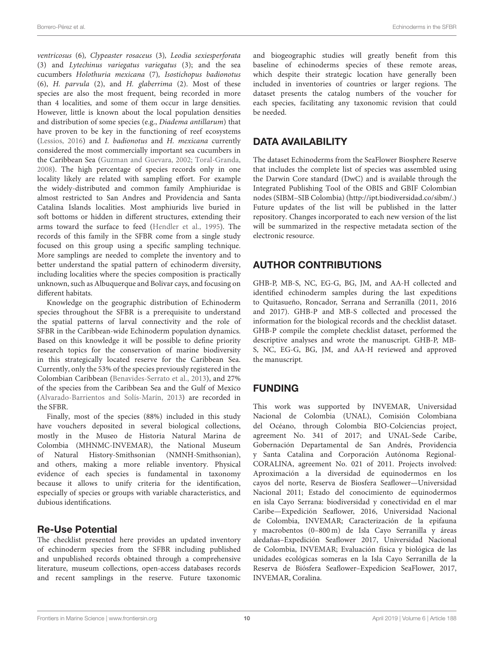ventricosus (6), Clypeaster rosaceus (3), Leodia sexiesperforata (3) and Lytechinus variegatus variegatus (3); and the sea cucumbers Holothuria mexicana (7), Isostichopus badionotus (6), H. parvula (2), and H. glaberrima (2). Most of these species are also the most frequent, being recorded in more than 4 localities, and some of them occur in large densities. However, little is known about the local population densities and distribution of some species (e.g., Diadema antillarum) that have proven to be key in the functioning of reef ecosystems [\(Lessios, 2016\)](#page-10-19) and I. badionotus and H. mexicana currently considered the most commercially important sea cucumbers in the Caribbean Sea [\(Guzman and Guevara, 2002;](#page-10-20) [Toral-Granda,](#page-11-6) [2008\)](#page-11-6). The high percentage of species records only in one locality likely are related with sampling effort. For example the widely-distributed and common family Amphiuridae is almost restricted to San Andres and Providencia and Santa Catalina Islands localities. Most amphiurids live buried in soft bottoms or hidden in different structures, extending their arms toward the surface to feed [\(Hendler et al., 1995\)](#page-10-21). The records of this family in the SFBR come from a single study focused on this group using a specific sampling technique. More samplings are needed to complete the inventory and to better understand the spatial pattern of echinoderm diversity, including localities where the species composition is practically unknown, such as Albuquerque and Bolivar cays, and focusing on different habitats.

Knowledge on the geographic distribution of Echinoderm species throughout the SFBR is a prerequisite to understand the spatial patterns of larval connectivity and the role of SFBR in the Caribbean-wide Echinoderm population dynamics. Based on this knowledge it will be possible to define priority research topics for the conservation of marine biodiversity in this strategically located reserve for the Caribbean Sea. Currently, only the 53% of the species previously registered in the Colombian Caribbean [\(Benavides-Serrato et al., 2013\)](#page-10-12), and 27% of the species from the Caribbean Sea and the Gulf of Mexico [\(Alvarado-Barrientos and Solís-Marín, 2013\)](#page-10-22) are recorded in the SFBR.

Finally, most of the species (88%) included in this study have vouchers deposited in several biological collections, mostly in the Museo de Historia Natural Marina de Colombia (MHNMC-INVEMAR), the National Museum of Natural History-Smithsonian (NMNH-Smithsonian), and others, making a more reliable inventory. Physical evidence of each species is fundamental in taxonomy because it allows to unify criteria for the identification, especially of species or groups with variable characteristics, and dubious identifications.

# Re-Use Potential

The checklist presented here provides an updated inventory of echinoderm species from the SFBR including published and unpublished records obtained through a comprehensive literature, museum collections, open-access databases records and recent samplings in the reserve. Future taxonomic and biogeographic studies will greatly benefit from this baseline of echinoderms species of these remote areas, which despite their strategic location have generally been included in inventories of countries or larger regions. The dataset presents the catalog numbers of the voucher for each species, facilitating any taxonomic revision that could be needed.

# DATA AVAILABILITY

The dataset Echinoderms from the SeaFlower Biosphere Reserve that includes the complete list of species was assembled using the Darwin Core standard (DwC) and is available through the Integrated Publishing Tool of the OBIS and GBIF Colombian nodes (SIBM–SIB Colombia) [\(http://ipt.biodiversidad.co/sibm/.](http://ipt.biodiversidad.co/sibm/)) Future updates of the list will be published in the latter repository. Changes incorporated to each new version of the list will be summarized in the respective metadata section of the electronic resource.

# AUTHOR CONTRIBUTIONS

GHB-P, MB-S, NC, EG-G, BG, JM, and AA-H collected and identified echinoderm samples during the last expeditions to Quitasueño, Roncador, Serrana and Serranilla (2011, 2016 and 2017). GHB-P and MB-S collected and processed the information for the biological records and the checklist dataset. GHB-P compile the complete checklist dataset, performed the descriptive analyses and wrote the manuscript. GHB-P, MB-S, NC, EG-G, BG, JM, and AA-H reviewed and approved the manuscript.

# FUNDING

This work was supported by INVEMAR, Universidad Nacional de Colombia (UNAL), Comisión Colombiana del Océano, through Colombia BIO-Colciencias project, agreement No. 341 of 2017; and UNAL-Sede Caribe, Gobernación Departamental de San Andrés, Providencia y Santa Catalina and Corporación Autónoma Regional-CORALINA, agreement No. 021 of 2011. Projects involved: Aproximación a la diversidad de equinodermos en los cayos del norte, Reserva de Biosfera Seaflower—Universidad Nacional 2011; Estado del conocimiento de equinodermos en isla Cayo Serrana: biodiversidad y conectividad en el mar Caribe—Expedición Seaflower, 2016, Universidad Nacional de Colombia, INVEMAR; Caracterización de la epifauna y macrobentos (0–800 m) de Isla Cayo Serranilla y áreas aledañas–Expedición Seaflower 2017, Universidad Nacional de Colombia, INVEMAR; Evaluación física y biológica de las unidades ecológicas someras en la Isla Cayo Serranilla de la Reserva de Biósfera Seaflower–Expedicion SeaFlower, 2017, INVEMAR, Coralina.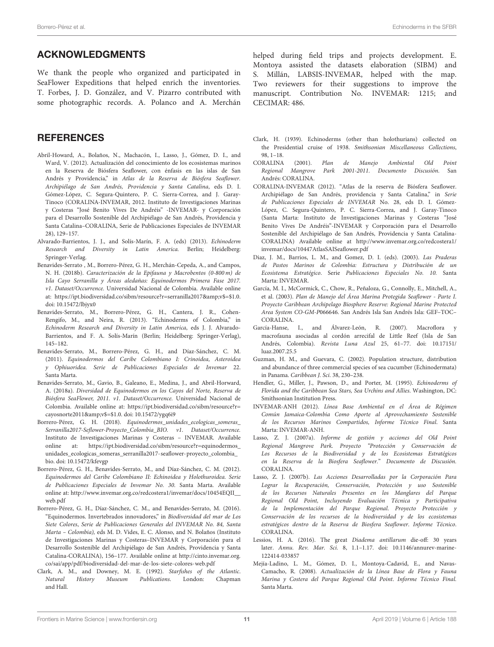## ACKNOWLEDGMENTS

We thank the people who organized and participated in SeaFlower Expeditions that helped enrich the inventories. T. Forbes, J. D. González, and V. Pizarro contributed with some photographic records. A. Polanco and A. Merchán

## **REFERENCES**

- <span id="page-10-13"></span>Abril-Howard, A., Bolaños, N., Machacón, I., Lasso, J., Gómez, D. I., and Ward, V. (2012). Actualización del conocimiento de los ecosistemas marinos en la Reserva de Biósfera Seaflower, con énfasis en las islas de San Andrés y Providencia," in Atlas de la Reserva de Biósfera Seaflower. Archipiélago de San Andrés, Providencia y Santa Catalina, eds D. I. Gómez-López, C. Segura-Quintero, P. C. Sierra-Correa, and J. Garay-Tinoco (CORALINA-INVEMAR, 2012. Instituto de Investigaciones Marinas y Costeras "José Benito Vives De Andréis" -INVEMAR- y Corporación para el Desarrollo Sostenible del Archipiélago de San Andrés, Providencia y Santa Catalina–CORALINA, Serie de Publicaciones Especiales de INVEMAR 28), 129–157.
- <span id="page-10-22"></span>Alvarado-Barrientos, J. J., and Solís-Marín, F. A. (eds) (2013). Echinoderm Research and Diversity in Latin America. Berlin; Heidelberg: Springer-Verlag.
- <span id="page-10-17"></span>Benavides-Serrato , M., Borrero-Pérez, G. H., Merchán-Cepeda, A., and Campos, N. H. (2018b). Caracterización de la Epifauna y Macrobentos (0-800 m) de Isla Cayo Serranilla y Áreas aledañas: Equinodermos Primera Fase 2017. v1. Dataset/Occurrence. Universidad Nacional de Colombia. Available online at: [https://ipt.biodiversidad.co/sibm/resource?r=serranilla2017&v\\$=\\$1.0.](https://ipt.biodiversidad.co/sibm/resource?r=serranilla2017&v$=$1.0) doi: [10.15472/lbjyx0](https://doi.org/10.15472/lbjyx0)
- <span id="page-10-12"></span>Benavides-Serrato, M., Borrero-Pérez, G. H., Cantera, J. R., Cohen-Rengifo, M., and Neira, R. (2013). "Echinoderms of Colombia," in Echinoderm Research and Diversity in Latin America, eds J. J. Alvarado-Barrientos, and F. A. Solís-Marín (Berlin; Heidelberg: Springer-Verlag), 145–182.
- <span id="page-10-11"></span>Benavides-Serrato, M., Borrero-Pérez, G. H., and Díaz-Sánchez, C. M. (2011). Equinodermos del Caribe Colombiano I: Crinoidea, Asteroidea y Ophiuoridea. Serie de Publicaciones Especiales de Invemar 22. Santa Marta.
- <span id="page-10-16"></span>Benavides-Serrato, M., Gavio, B., Galeano, E., Medina, J., and Abril-Horward, A. (2018a). Diversidad de Equinodermos en los Cayos del Norte, Reserva de Biósfera SeaFlower, 2011. v1. Dataset/Occurrence. Universidad Nacional de Colombia. Available online at: [https://ipt.biodiversidad.co/sibm/resource?r=](https://ipt.biodiversidad.co/sibm/resource?r=cayosnorte2011&v$=$1.0) [cayosnorte2011&v\\$=\\$1.0.](https://ipt.biodiversidad.co/sibm/resource?r=cayosnorte2011&v$=$1.0) doi: [10.15472/ygq6i9](https://doi.org/10.15472/ygq6i9)
- <span id="page-10-18"></span>Borrero-Pérez, G. H. (2018). Equinodermos\_unidades\_ecologicas\_someras\_ Serranilla2017-Seflower-Proyecto\_Colombia\_BIO. v1. Dataset/Occurrence. Instituto de Investigaciones Marinas y Costeras – INVEMAR. Available online at: [https://ipt.biodiversidad.co/sibm/resource?r=equinodermos\\_](https://ipt.biodiversidad.co/sibm/resource?r=equinodermos_unidades_ecologicas_someras_serranilla2017-seaflower-proyecto_colombia_bio) [unidades\\_ecologicas\\_someras\\_serranilla2017-seaflower-proyecto\\_colombia\\_](https://ipt.biodiversidad.co/sibm/resource?r=equinodermos_unidades_ecologicas_someras_serranilla2017-seaflower-proyecto_colombia_bio) [bio.](https://ipt.biodiversidad.co/sibm/resource?r=equinodermos_unidades_ecologicas_someras_serranilla2017-seaflower-proyecto_colombia_bio) doi: [10.15472/kfevgp](https://doi.org/10.15472/kfevgp)
- <span id="page-10-14"></span>Borrero-Pérez, G. H., Benavides-Serrato, M., and Díaz-Sánchez, C. M. (2012). Equinodermos del Caribe Colombiano II: Echinoidea y Holothuroidea. Serie de Publicaciones Especiales de Invemar No. 30. Santa Marta. Available online at: [http://www.invemar.org.co/redcostera1/invemar/docs/10454EQII\\_\\_](http://www.invemar.org.co/redcostera1/invemar/docs/10454EQII__web.pdf) [web.pdf](http://www.invemar.org.co/redcostera1/invemar/docs/10454EQII__web.pdf)
- <span id="page-10-1"></span>Borrero-Pérez, G. H., Díaz-Sánchez, C. M., and Benavides-Serrato, M. (2016). "Equinodermos. Invertebrados innovadores," in Biodiversidad del mar de Los Siete Colores, Serie de Publicaciones Generales del INVEMAR No. 84, Santa Marta – Colombia), eds M. D. Vides, E. C. Alonso, and N. Bolaños (Instituto de Investigaciones Marinas y Costeras–INVEMAR y Corporación para el Desarrollo Sostenible del Archipiélago de San Andrés, Providencia y Santa Catalina-CORALINA), 156–177. Available online at [http://cinto.invemar.org.](http://cinto.invemar.org.co/sai/app/pdf/biodiversidad-del-mar-de-los-siete-colores-web.pdf) [co/sai/app/pdf/biodiversidad-del-mar-de-los-siete-colores-web.pdf](http://cinto.invemar.org.co/sai/app/pdf/biodiversidad-del-mar-de-los-siete-colores-web.pdf)
- <span id="page-10-3"></span>Clark, A. M., and Downey, M. E. (1992). Starfishes of the Atlantic. Natural History Museum Publications. London: Chapman and Hall.

helped during field trips and projects development. E. Montoya assisted the datasets elaboration (SIBM) and S. Millán, LABSIS-INVEMAR, helped with the map. Two reviewers for their suggestions to improve the manuscript. Contribution No. INVEMAR: 1215; and CECIMAR: 486.

- <span id="page-10-2"></span>Clark, H. (1939). Echinoderms (other than holothurians) collected on the Presidential cruise of 1938. Smithsonian Miscellaneous Collections, 98, 1–18.
- <span id="page-10-4"></span>CORALINA (2001). Plan de Manejo Ambiental Old Point Regional Mangrove Park 2001-2011. Documento Discusión. San Andrés: CORALINA.
- <span id="page-10-0"></span>CORALINA-INVEMAR (2012). "Atlas de la reserva de Biósfera Seaflower. Archipiélago de San Andrés, providencia y Santa Catalina," in Serie de Publicaciones Especiales de INVEMAR No. 28, eds D. I. Gómez-López, C. Segura-Quintero, P. C. Sierra-Correa, and J. Garay-Tinoco (Santa Marta: Instituto de Investigaciones Marinas y Costeras "José Benito Vives De Andréis"-INVEMAR y Corporación para el Desarrollo Sostenible del Archipiélago de San Andrés, Providencia y Santa Catalina-CORALINA) Available online at [http://www.invemar.org.co/redcostera1/](http://www.invemar.org.co/redcostera1/invemar/docs/10447AtlasSAISeaflower.pdf) [invemar/docs/10447AtlasSAISeaflower.pdf](http://www.invemar.org.co/redcostera1/invemar/docs/10447AtlasSAISeaflower.pdf)
- <span id="page-10-5"></span>Diaz, J. M., Barrios, L. M., and Gomez, D. I. (eds). (2003). Las Praderas de Pastos Marinos de Colombia: Estructura y Distribución de un Ecosistema Estratégico. Serie Publicaciones Especiales No. 10. Santa Marta: INVEMAR.
- <span id="page-10-6"></span>García, M. I., McCormick, C., Chow, R., Peñaloza, G., Connolly, E., Mitchell, A., et al. (2003). Plan de Manejo del Área Marina Protegida Seaflower - Parte I. Proyecto Caribbean Archipelago Biosphere Reserve: Regional Marine Protected Area System CO-GM-P066646. San Andrés Isla San Andrés Isla: GEF–TOC– CORALINA.
- <span id="page-10-7"></span>García-Hanse, I., and Álvarez-León, R. (2007). Macroflora y macrofauna asociadas al cordón arrecifal de Little Reef (Isla de San Andrés, Colombia). Revista Luna Azul [25, 61–77. doi: 10.17151/](https://doi.org/10.17151/luaz.2007.25.5) luaz.2007.25.5
- <span id="page-10-20"></span>Guzman, H. M., and Guevara, C. (2002). Population structure, distribution and abundance of three commercial species of sea cucumber (Echinodermata) in Panama. Caribbean J. Sci. 38, 230–238.
- <span id="page-10-21"></span>Hendler, G., Miller, J., Pawson, D., and Porter, M. (1995). Echinoderms of Florida and the Caribbean Sea Stars, Sea Urchins and Allies. Washington, DC: Smithsonian Institution Press.
- <span id="page-10-15"></span>INVEMAR-ANH (2012). Línea Base Ambiental en el Área de Régimen Común Jamaica-Colombia Como Aporte al Aprovechamiento Sostenible de los Recursos Marinos Compartidos, Informe Técnico Final. Santa Marta: INVEMAR-ANH.
- <span id="page-10-8"></span>Lasso, Z. J. (2007a). Informe de gestión y acciones del Old Point Regional Mangrove Park. Proyecto "Protección y Conservación de Los Recursos de la Biodiversidad y de los Ecosistemas Estratégicos en la Reserva de la Biosfera Seaflower." Documento de Discusión. CORALINA.
- <span id="page-10-9"></span>Lasso, Z. J. (2007b). Las Acciones Desarrolladas por la Corporación Para Lograr la Recuperación, Conservación, Protección y uso Sostenible de los Recursos Naturales Presentes en los Manglares del Parque Regional Old Point, Incluyendo Evaluación Técnica y Participativa de la Implementación del Parque Regional. Proyecto Protección y Conservación de los recursos de la biodiversidad y de los ecosistemas estratégicos dentro de la Reserva de Biosfera Seaflower. Informe Técnico. CORALINA.
- <span id="page-10-19"></span>Lessios, H. A. (2016). The great Diadema antillarum die-off: 30 years later. Annu. Rev. Mar. Sci. [8, 1.1–1.17. doi: 10.1146/annurev-marine-](https://doi.org/10.1146/annurev-marine-122414-033857)122414-033857
- <span id="page-10-10"></span>Mejía-Ladino, L. M., Gómez, D. I., Montoya-Cadavid, E., and Navas-Camacho, R. (2008). Actualización de la Línea Base de Flora y Fauna Marina y Costera del Parque Regional Old Point. Informe Técnico Final. Santa Marta.